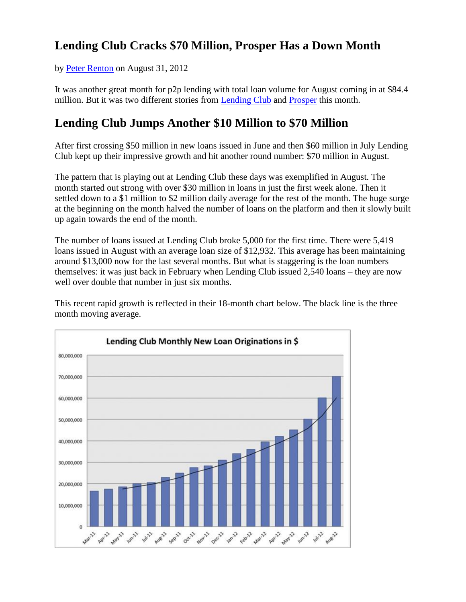## **Lending Club Cracks \$70 Million, Prosper Has a Down Month**

by Peter Renton on August 31, 2012

It was another great month for p2p lending with total loan volume for August coming in at \$84.4 million. But it was two different stories from Lending Club and Prosper this month.

## **Lending Club Jumps Another \$10 Million to \$70 Million**

After first crossing \$50 million in new loans issued in June and then \$60 million in July Lending Club kept up their impressive growth and hit another round number: \$70 million in August.

The pattern that is playing out at Lending Club these days was exemplified in August. The month started out strong with over \$30 million in loans in just the first week alone. Then it settled down to a \$1 million to \$2 million daily average for the rest of the month. The huge surge at the beginning on the month halved the number of loans on the platform and then it slowly built up again towards the end of the month.

The number of loans issued at Lending Club broke 5,000 for the first time. There were 5,419 loans issued in August with an average loan size of \$12,932. This average has been maintaining around \$13,000 now for the last several months. But what is staggering is the loan numbers themselves: it was just back in February when Lending Club issued 2,540 loans – they are now well over double that number in just six months.

This recent rapid growth is reflected in their 18-month chart below. The black line is the three month moving average.